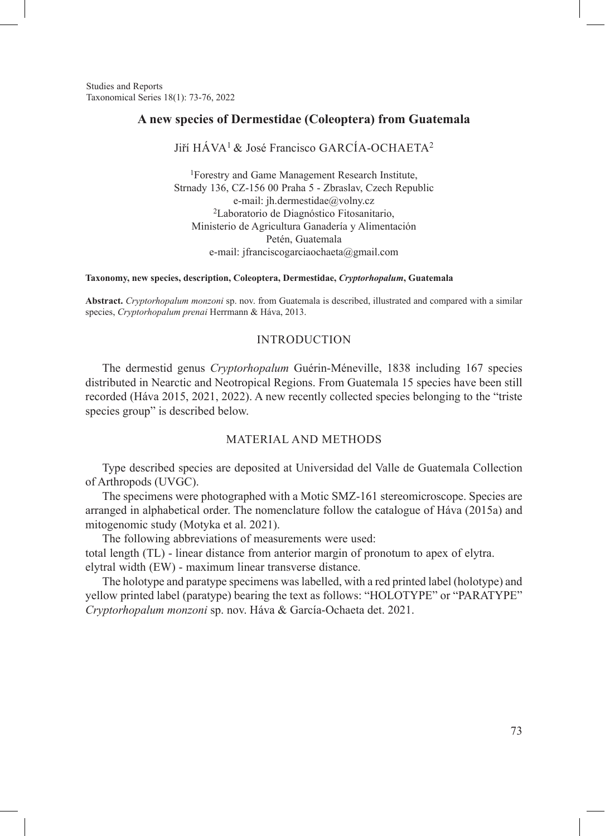Studies and Reports Taxonomical Series 18(1): 73-76, 2022

# **A new species of Dermestidae (Coleoptera) from Guatemala**

Jiří HÁVA<sup>1</sup> & José Francisco GARCÍA-OCHAETA<sup>2</sup>

<sup>1</sup>Forestry and Game Management Research Institute, Strnady 136, CZ-156 00 Praha 5 - Zbraslav, Czech Republic e-mail: jh.dermestidae@volny.cz <sup>2</sup>Laboratorio de Diagnóstico Fitosanitario, Ministerio de Agricultura Ganadería y Alimentación Petén, Guatemala e-mail: jfranciscogarciaochaeta@gmail.com

#### **Taxonomy, new species, description, Coleoptera, Dermestidae,** *Cryptorhopalum***, Guatemala**

**Abstract.** *Cryptorhopalum monzoni* sp. nov. from Guatemala is described, illustrated and compared with a similar species, *Cryptorhopalum prenai* Herrmann & Háva, 2013.

# INTRODUCTION

The dermestid genus *Cryptorhopalum* Guérin-Méneville, 1838 including 167 species distributed in Nearctic and Neotropical Regions. From Guatemala 15 species have been still recorded (Háva 2015, 2021, 2022). A new recently collected species belonging to the "triste species group" is described below.

## MATERIAL AND METHODS

Type described species are deposited at Universidad del Valle de Guatemala Collection of Arthropods (UVGC).

The specimens were photographed with a Motic SMZ-161 stereomicroscope. Species are arranged in alphabetical order. The nomenclature follow the catalogue of Háva (2015a) and mitogenomic study (Motyka et al. 2021).

The following abbreviations of measurements were used:

total length (TL) - linear distance from anterior margin of pronotum to apex of elytra. elytral width (EW) - maximum linear transverse distance.

The holotype and paratype specimens was labelled, with a red printed label (holotype) and yellow printed label (paratype) bearing the text as follows: "HOLOTYPE" or "PARATYPE" *Cryptorhopalum monzoni* sp. nov. Háva & García-Ochaeta det. 2021.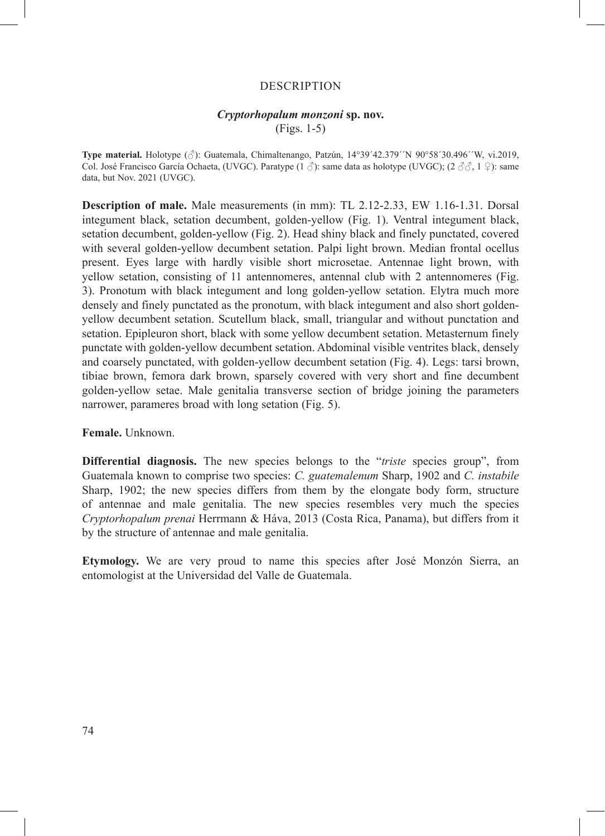## DESCRIPTION

## *Cryptorhopalum monzoni* **sp. nov.**

(Figs. 1-5)

**Type material.** Holotype (♂): Guatemala, Chimaltenango, Patzún, 14°39´42.379´´N 90°58´30.496´´W, vi.2019, Col. José Francisco García Ochaeta, (UVGC). Paratype  $(1 \text{ } \mathcal{S})$ : same data as holotype (UVGC);  $(2 \text{ } \mathcal{S} \mathcal{S}, 1 \text{ } \mathcal{Q})$ : same data, but Nov. 2021 (UVGC).

**Description of male.** Male measurements (in mm): TL 2.12-2.33, EW 1.16-1.31. Dorsal integument black, setation decumbent, golden-yellow (Fig. 1). Ventral integument black, setation decumbent, golden-yellow (Fig. 2). Head shiny black and finely punctated, covered with several golden-yellow decumbent setation. Palpi light brown. Median frontal ocellus present. Eyes large with hardly visible short microsetae. Antennae light brown, with yellow setation, consisting of 11 antennomeres, antennal club with 2 antennomeres (Fig. 3). Pronotum with black integument and long golden-yellow setation. Elytra much more densely and finely punctated as the pronotum, with black integument and also short goldenyellow decumbent setation. Scutellum black, small, triangular and without punctation and setation. Epipleuron short, black with some yellow decumbent setation. Metasternum finely punctate with golden-yellow decumbent setation. Abdominal visible ventrites black, densely and coarsely punctated, with golden-yellow decumbent setation (Fig. 4). Legs: tarsi brown, tibiae brown, femora dark brown, sparsely covered with very short and fine decumbent golden-yellow setae. Male genitalia transverse section of bridge joining the parameters narrower, parameres broad with long setation (Fig. 5).

**Female.** Unknown.

**Differential diagnosis.** The new species belongs to the "*triste* species group", from Guatemala known to comprise two species: *C. guatemalenum* Sharp, 1902 and *C. instabile* Sharp, 1902; the new species differs from them by the elongate body form, structure of antennae and male genitalia. The new species resembles very much the species *Cryptorhopalum prenai* Herrmann & Háva, 2013 (Costa Rica, Panama), but differs from it by the structure of antennae and male genitalia.

**Etymology.** We are very proud to name this species after José Monzón Sierra, an entomologist at the Universidad del Valle de Guatemala.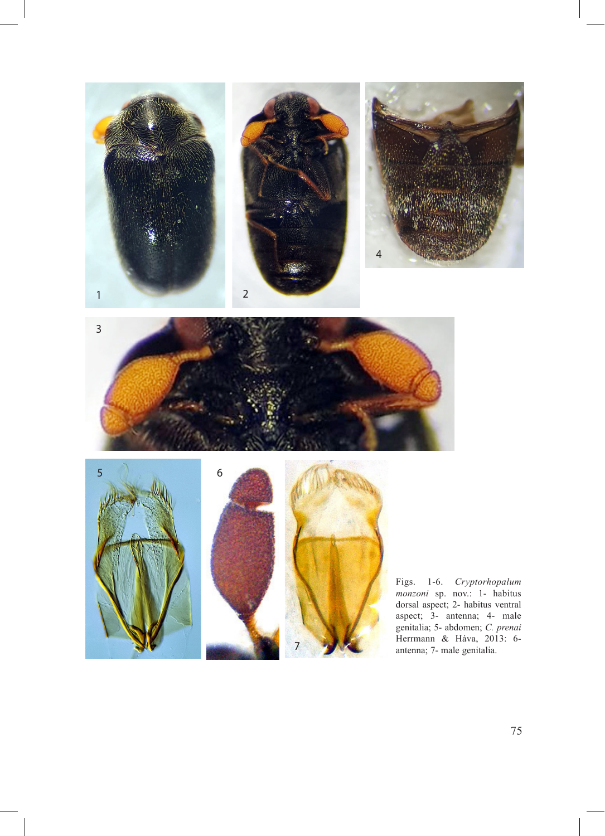



Figs. 1-6. *Cryptorhopalum monzoni* sp. nov.: 1- habitus dorsal aspect; 2- habitus ventral aspect; 3- antenna; 4- male genitalia; 5- abdomen; *C. prenai* Herrmann & Háva, 2013: 6 antenna; 7- male genitalia.